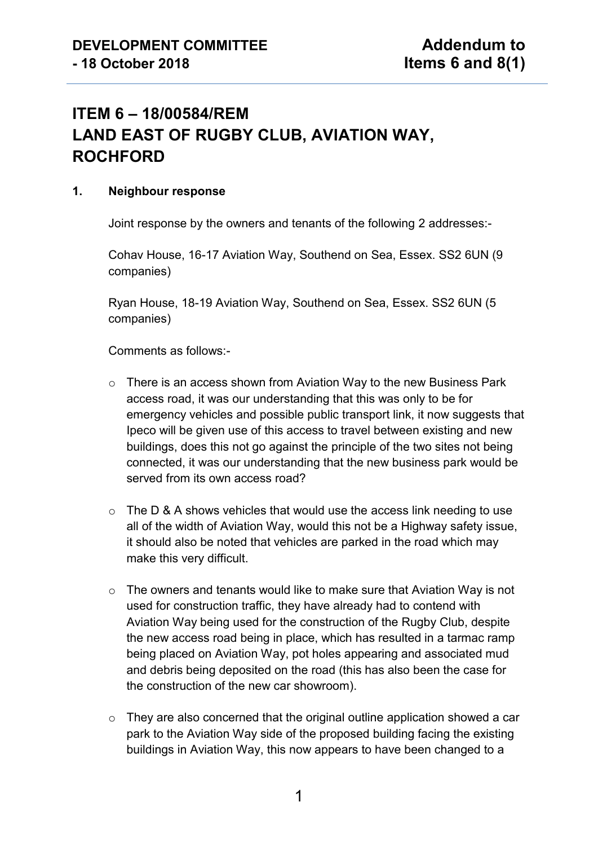# **ITEM 6 – 18/00584/REM LAND EAST OF RUGBY CLUB, AVIATION WAY, ROCHFORD**

#### **1. Neighbour response**

Joint response by the owners and tenants of the following 2 addresses:-

Cohav House, 16-17 Aviation Way, Southend on Sea, Essex. SS2 6UN (9 companies)

Ryan House, 18-19 Aviation Way, Southend on Sea, Essex. SS2 6UN (5 companies)

Comments as follows:-

- o There is an access shown from Aviation Way to the new Business Park access road, it was our understanding that this was only to be for emergency vehicles and possible public transport link, it now suggests that Ipeco will be given use of this access to travel between existing and new buildings, does this not go against the principle of the two sites not being connected, it was our understanding that the new business park would be served from its own access road?
- o The D & A shows vehicles that would use the access link needing to use all of the width of Aviation Way, would this not be a Highway safety issue, it should also be noted that vehicles are parked in the road which may make this very difficult.
- o The owners and tenants would like to make sure that Aviation Way is not used for construction traffic, they have already had to contend with Aviation Way being used for the construction of the Rugby Club, despite the new access road being in place, which has resulted in a tarmac ramp being placed on Aviation Way, pot holes appearing and associated mud and debris being deposited on the road (this has also been the case for the construction of the new car showroom).
- o They are also concerned that the original outline application showed a car park to the Aviation Way side of the proposed building facing the existing buildings in Aviation Way, this now appears to have been changed to a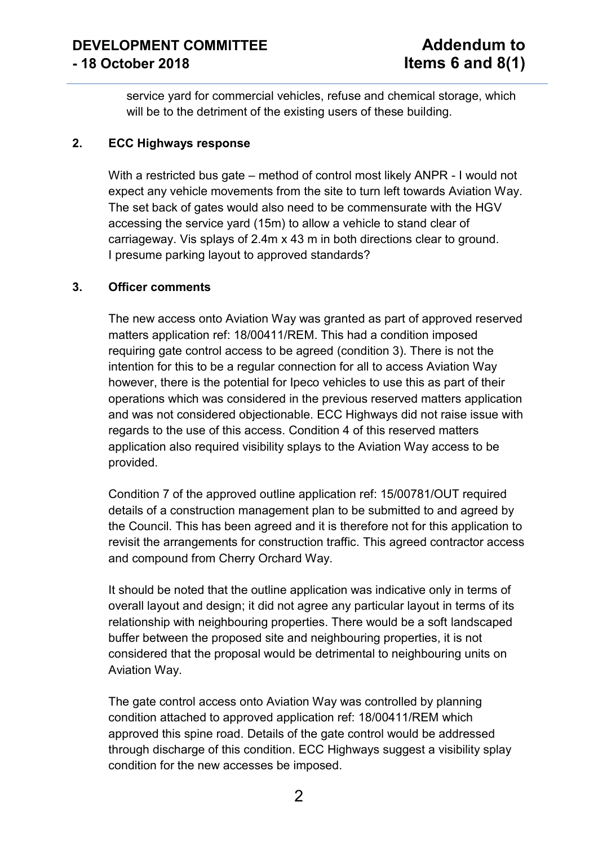service yard for commercial vehicles, refuse and chemical storage, which will be to the detriment of the existing users of these building.

### **2. ECC Highways response**

With a restricted bus gate – method of control most likely ANPR - I would not expect any vehicle movements from the site to turn left towards Aviation Way. The set back of gates would also need to be commensurate with the HGV accessing the service yard (15m) to allow a vehicle to stand clear of carriageway. Vis splays of 2.4m x 43 m in both directions clear to ground. I presume parking layout to approved standards?

#### **3. Officer comments**

The new access onto Aviation Way was granted as part of approved reserved matters application ref: 18/00411/REM. This had a condition imposed requiring gate control access to be agreed (condition 3). There is not the intention for this to be a regular connection for all to access Aviation Way however, there is the potential for Ipeco vehicles to use this as part of their operations which was considered in the previous reserved matters application and was not considered objectionable. ECC Highways did not raise issue with regards to the use of this access. Condition 4 of this reserved matters application also required visibility splays to the Aviation Way access to be provided.

Condition 7 of the approved outline application ref: 15/00781/OUT required details of a construction management plan to be submitted to and agreed by the Council. This has been agreed and it is therefore not for this application to revisit the arrangements for construction traffic. This agreed contractor access and compound from Cherry Orchard Way.

It should be noted that the outline application was indicative only in terms of overall layout and design; it did not agree any particular layout in terms of its relationship with neighbouring properties. There would be a soft landscaped buffer between the proposed site and neighbouring properties, it is not considered that the proposal would be detrimental to neighbouring units on Aviation Way.

The gate control access onto Aviation Way was controlled by planning condition attached to approved application ref: 18/00411/REM which approved this spine road. Details of the gate control would be addressed through discharge of this condition. ECC Highways suggest a visibility splay condition for the new accesses be imposed.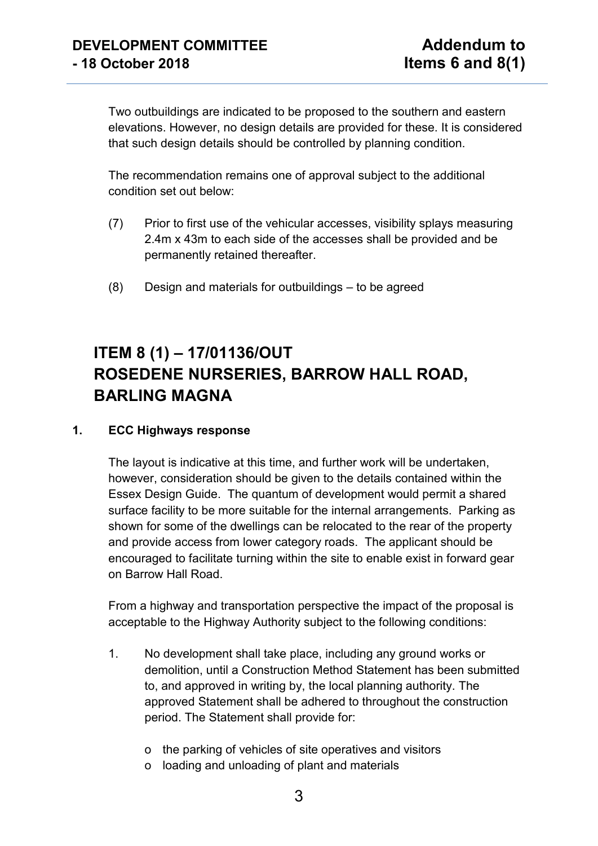Two outbuildings are indicated to be proposed to the southern and eastern elevations. However, no design details are provided for these. It is considered that such design details should be controlled by planning condition.

The recommendation remains one of approval subject to the additional condition set out below:

- (7) Prior to first use of the vehicular accesses, visibility splays measuring 2.4m x 43m to each side of the accesses shall be provided and be permanently retained thereafter.
- (8) Design and materials for outbuildings to be agreed

# **ITEM 8 (1) – 17/01136/OUT ROSEDENE NURSERIES, BARROW HALL ROAD, BARLING MAGNA**

### **1. ECC Highways response**

The layout is indicative at this time, and further work will be undertaken, however, consideration should be given to the details contained within the Essex Design Guide. The quantum of development would permit a shared surface facility to be more suitable for the internal arrangements. Parking as shown for some of the dwellings can be relocated to the rear of the property and provide access from lower category roads. The applicant should be encouraged to facilitate turning within the site to enable exist in forward gear on Barrow Hall Road.

From a highway and transportation perspective the impact of the proposal is acceptable to the Highway Authority subject to the following conditions:

- 1. No development shall take place, including any ground works or demolition, until a Construction Method Statement has been submitted to, and approved in writing by, the local planning authority. The approved Statement shall be adhered to throughout the construction period. The Statement shall provide for:
	- o the parking of vehicles of site operatives and visitors
	- o loading and unloading of plant and materials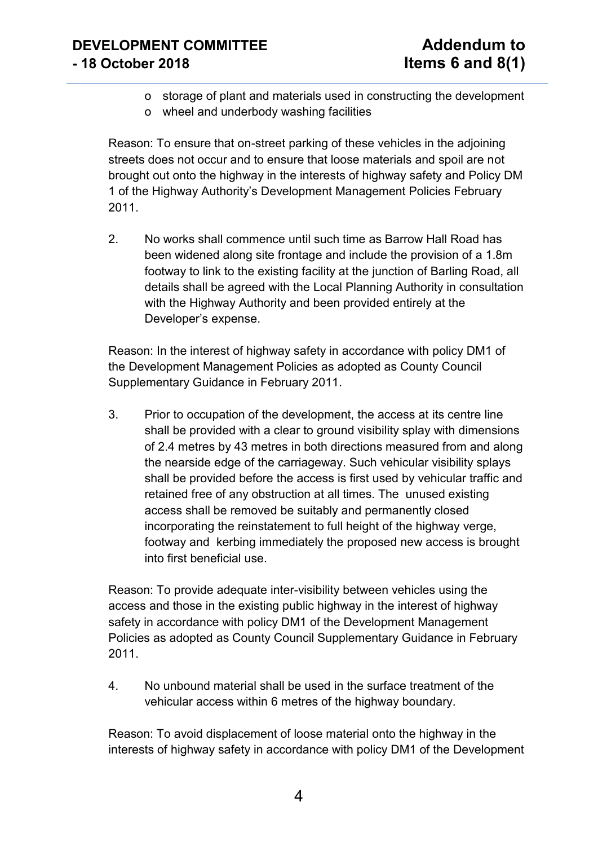## **DEVELOPMENT COMMITTEE Addendum to - 18 October 2018 Items 6 and 8(1)**

- o storage of plant and materials used in constructing the development
- o wheel and underbody washing facilities

Reason: To ensure that on-street parking of these vehicles in the adjoining streets does not occur and to ensure that loose materials and spoil are not brought out onto the highway in the interests of highway safety and Policy DM 1 of the Highway Authority's Development Management Policies February 2011.

2. No works shall commence until such time as Barrow Hall Road has been widened along site frontage and include the provision of a 1.8m footway to link to the existing facility at the junction of Barling Road, all details shall be agreed with the Local Planning Authority in consultation with the Highway Authority and been provided entirely at the Developer's expense.

Reason: In the interest of highway safety in accordance with policy DM1 of the Development Management Policies as adopted as County Council Supplementary Guidance in February 2011.

3. Prior to occupation of the development, the access at its centre line shall be provided with a clear to ground visibility splay with dimensions of 2.4 metres by 43 metres in both directions measured from and along the nearside edge of the carriageway. Such vehicular visibility splays shall be provided before the access is first used by vehicular traffic and retained free of any obstruction at all times. The unused existing access shall be removed be suitably and permanently closed incorporating the reinstatement to full height of the highway verge, footway and kerbing immediately the proposed new access is brought into first beneficial use.

Reason: To provide adequate inter-visibility between vehicles using the access and those in the existing public highway in the interest of highway safety in accordance with policy DM1 of the Development Management Policies as adopted as County Council Supplementary Guidance in February 2011.

4. No unbound material shall be used in the surface treatment of the vehicular access within 6 metres of the highway boundary.

Reason: To avoid displacement of loose material onto the highway in the interests of highway safety in accordance with policy DM1 of the Development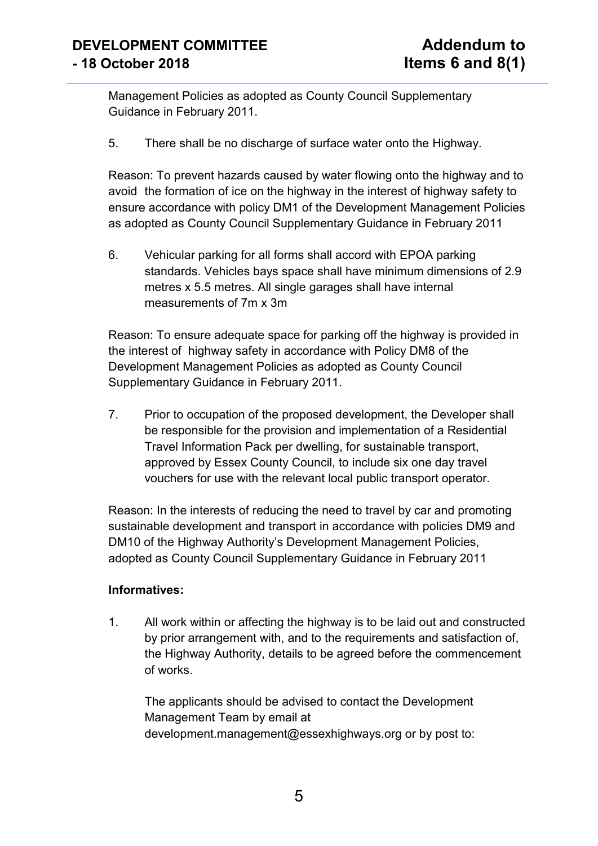Management Policies as adopted as County Council Supplementary Guidance in February 2011.

5. There shall be no discharge of surface water onto the Highway.

Reason: To prevent hazards caused by water flowing onto the highway and to avoid the formation of ice on the highway in the interest of highway safety to ensure accordance with policy DM1 of the Development Management Policies as adopted as County Council Supplementary Guidance in February 2011

6. Vehicular parking for all forms shall accord with EPOA parking standards. Vehicles bays space shall have minimum dimensions of 2.9 metres x 5.5 metres. All single garages shall have internal measurements of 7m x 3m

Reason: To ensure adequate space for parking off the highway is provided in the interest of highway safety in accordance with Policy DM8 of the Development Management Policies as adopted as County Council Supplementary Guidance in February 2011.

7. Prior to occupation of the proposed development, the Developer shall be responsible for the provision and implementation of a Residential Travel Information Pack per dwelling, for sustainable transport, approved by Essex County Council, to include six one day travel vouchers for use with the relevant local public transport operator.

Reason: In the interests of reducing the need to travel by car and promoting sustainable development and transport in accordance with policies DM9 and DM10 of the Highway Authority's Development Management Policies, adopted as County Council Supplementary Guidance in February 2011

### **Informatives:**

1. All work within or affecting the highway is to be laid out and constructed by prior arrangement with, and to the requirements and satisfaction of, the Highway Authority, details to be agreed before the commencement of works.

The applicants should be advised to contact the Development Management Team by email at development.management@essexhighways.org or by post to: